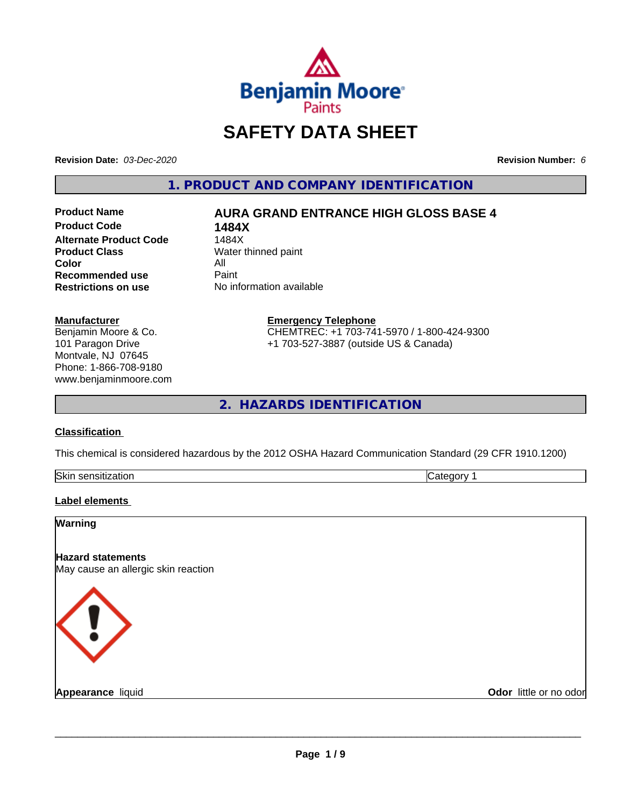

# **SAFETY DATA SHEET**

**Revision Date:** *03-Dec-2020* **Revision Number:** *6*

**1. PRODUCT AND COMPANY IDENTIFICATION**

**Product Code 1484X Alternate Product Code**<br>Product Class **Color** All<br> **Recommended use** Paint **Recommended use**<br>Restrictions on use

## **Product Name AURA GRAND ENTRANCE HIGH GLOSS BASE 4**

**Water thinned paint Restrictions on use** No information available

**Manufacturer**

Benjamin Moore & Co. 101 Paragon Drive Montvale, NJ 07645 Phone: 1-866-708-9180 www.benjaminmoore.com **Emergency Telephone** CHEMTREC: +1 703-741-5970 / 1-800-424-9300 +1 703-527-3887 (outside US & Canada)

**2. HAZARDS IDENTIFICATION**

## **Classification**

This chemical is considered hazardous by the 2012 OSHA Hazard Communication Standard (29 CFR 1910.1200)

| <b>Skir</b><br>.<br>- 11 | . . |
|--------------------------|-----|

## **Label elements**

| Warning                                                         |                        |
|-----------------------------------------------------------------|------------------------|
| <b>Hazard statements</b><br>May cause an allergic skin reaction |                        |
| <b>KI</b>                                                       |                        |
| <b>Appearance liquid</b>                                        | Odor little or no odor |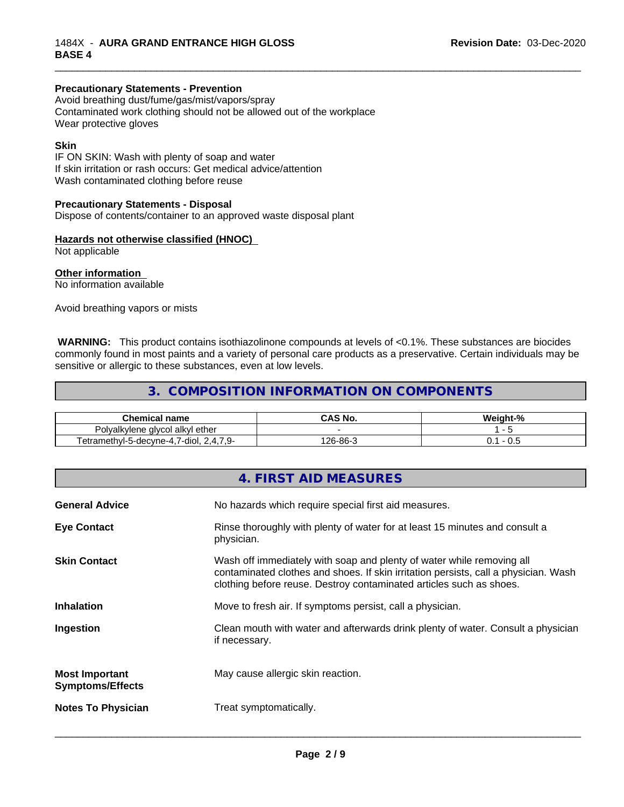#### **Precautionary Statements - Prevention**

Avoid breathing dust/fume/gas/mist/vapors/spray Contaminated work clothing should not be allowed out of the workplace Wear protective gloves

#### **Skin**

IF ON SKIN: Wash with plenty of soap and water If skin irritation or rash occurs: Get medical advice/attention Wash contaminated clothing before reuse

#### **Precautionary Statements - Disposal**

Dispose of contents/container to an approved waste disposal plant

#### **Hazards not otherwise classified (HNOC)**

Not applicable

## **Other information**

No information available

Avoid breathing vapors or mists

 **WARNING:** This product contains isothiazolinone compounds at levels of <0.1%. These substances are biocides commonly found in most paints and a variety of personal care products as a preservative. Certain individuals may be sensitive or allergic to these substances, even at low levels.

\_\_\_\_\_\_\_\_\_\_\_\_\_\_\_\_\_\_\_\_\_\_\_\_\_\_\_\_\_\_\_\_\_\_\_\_\_\_\_\_\_\_\_\_\_\_\_\_\_\_\_\_\_\_\_\_\_\_\_\_\_\_\_\_\_\_\_\_\_\_\_\_\_\_\_\_\_\_\_\_\_\_\_\_\_\_\_\_\_\_\_\_\_

## **3. COMPOSITION INFORMATION ON COMPONENTS**

| Chemica.<br>name                                                                                                                                 | ∖C NI∕<br>טוי<br>טרש | <br>Weiaht-% |
|--------------------------------------------------------------------------------------------------------------------------------------------------|----------------------|--------------|
| Polvalkvlene glvcol alkvl ether<br>$\sim$                                                                                                        |                      |              |
| $  -$<br>$\overline{\phantom{a}}$<br>$\sim$<br>$7$ -dioi,<br>decyne-4.<br>etramethyl-5-<br>. .<br>$\sqrt{1}$<br>IG.<br>.<br>$\sim$ $\sim$ $\sim$ | ?-86-ژ<br>I QR<br>ี  | υ.υ<br>v.    |

|                                                  | 4. FIRST AID MEASURES                                                                                                                                                                                                               |
|--------------------------------------------------|-------------------------------------------------------------------------------------------------------------------------------------------------------------------------------------------------------------------------------------|
| <b>General Advice</b>                            | No hazards which require special first aid measures.                                                                                                                                                                                |
| <b>Eye Contact</b>                               | Rinse thoroughly with plenty of water for at least 15 minutes and consult a<br>physician.                                                                                                                                           |
| <b>Skin Contact</b>                              | Wash off immediately with soap and plenty of water while removing all<br>contaminated clothes and shoes. If skin irritation persists, call a physician. Wash<br>clothing before reuse. Destroy contaminated articles such as shoes. |
| <b>Inhalation</b>                                | Move to fresh air. If symptoms persist, call a physician.                                                                                                                                                                           |
| Ingestion                                        | Clean mouth with water and afterwards drink plenty of water. Consult a physician<br>if necessary.                                                                                                                                   |
| <b>Most Important</b><br><b>Symptoms/Effects</b> | May cause allergic skin reaction.                                                                                                                                                                                                   |
| <b>Notes To Physician</b>                        | Treat symptomatically.                                                                                                                                                                                                              |
|                                                  |                                                                                                                                                                                                                                     |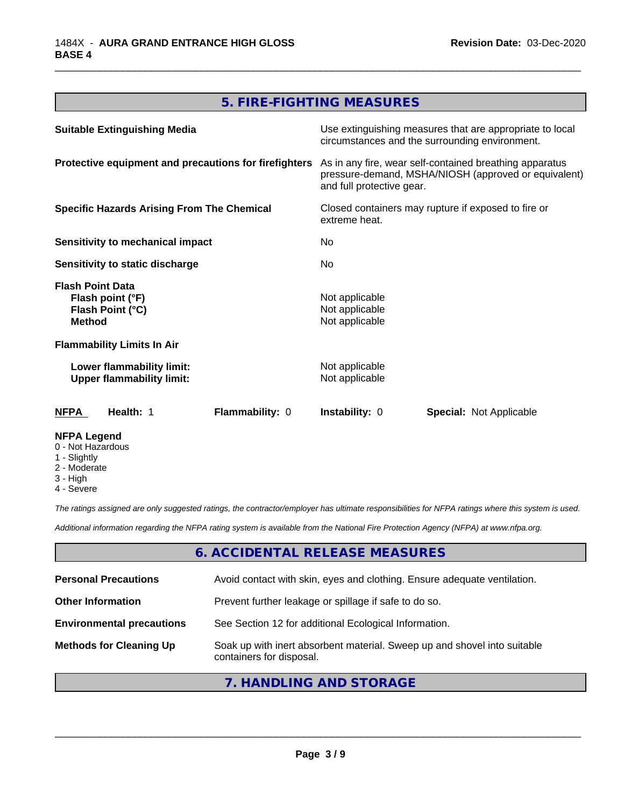## **5. FIRE-FIGHTING MEASURES**

\_\_\_\_\_\_\_\_\_\_\_\_\_\_\_\_\_\_\_\_\_\_\_\_\_\_\_\_\_\_\_\_\_\_\_\_\_\_\_\_\_\_\_\_\_\_\_\_\_\_\_\_\_\_\_\_\_\_\_\_\_\_\_\_\_\_\_\_\_\_\_\_\_\_\_\_\_\_\_\_\_\_\_\_\_\_\_\_\_\_\_\_\_

| <b>Suitable Extinguishing Media</b>                                              | Use extinguishing measures that are appropriate to local<br>circumstances and the surrounding environment.                                   |  |
|----------------------------------------------------------------------------------|----------------------------------------------------------------------------------------------------------------------------------------------|--|
| Protective equipment and precautions for firefighters                            | As in any fire, wear self-contained breathing apparatus<br>pressure-demand, MSHA/NIOSH (approved or equivalent)<br>and full protective gear. |  |
| <b>Specific Hazards Arising From The Chemical</b>                                | Closed containers may rupture if exposed to fire or<br>extreme heat.<br>No.<br>No.                                                           |  |
| <b>Sensitivity to mechanical impact</b>                                          |                                                                                                                                              |  |
| Sensitivity to static discharge                                                  |                                                                                                                                              |  |
| <b>Flash Point Data</b><br>Flash point (°F)<br>Flash Point (°C)<br><b>Method</b> | Not applicable<br>Not applicable<br>Not applicable                                                                                           |  |
| <b>Flammability Limits In Air</b>                                                |                                                                                                                                              |  |
| Lower flammability limit:<br><b>Upper flammability limit:</b>                    | Not applicable<br>Not applicable                                                                                                             |  |
| Flammability: 0<br>Health: 1<br>NFPA                                             | <b>Instability: 0</b><br><b>Special: Not Applicable</b>                                                                                      |  |
| <b>NFPA Legend</b><br>0 - Not Hazardous<br>1 - Slightly                          |                                                                                                                                              |  |

- 2 Moderate
- 3 High
- 4 Severe

*The ratings assigned are only suggested ratings, the contractor/employer has ultimate responsibilities for NFPA ratings where this system is used.*

*Additional information regarding the NFPA rating system is available from the National Fire Protection Agency (NFPA) at www.nfpa.org.*

## **6. ACCIDENTAL RELEASE MEASURES**

| <b>Personal Precautions</b>      | Avoid contact with skin, eyes and clothing. Ensure adequate ventilation.                             |
|----------------------------------|------------------------------------------------------------------------------------------------------|
| <b>Other Information</b>         | Prevent further leakage or spillage if safe to do so.                                                |
| <b>Environmental precautions</b> | See Section 12 for additional Ecological Information.                                                |
| <b>Methods for Cleaning Up</b>   | Soak up with inert absorbent material. Sweep up and shovel into suitable<br>containers for disposal. |

## **7. HANDLING AND STORAGE**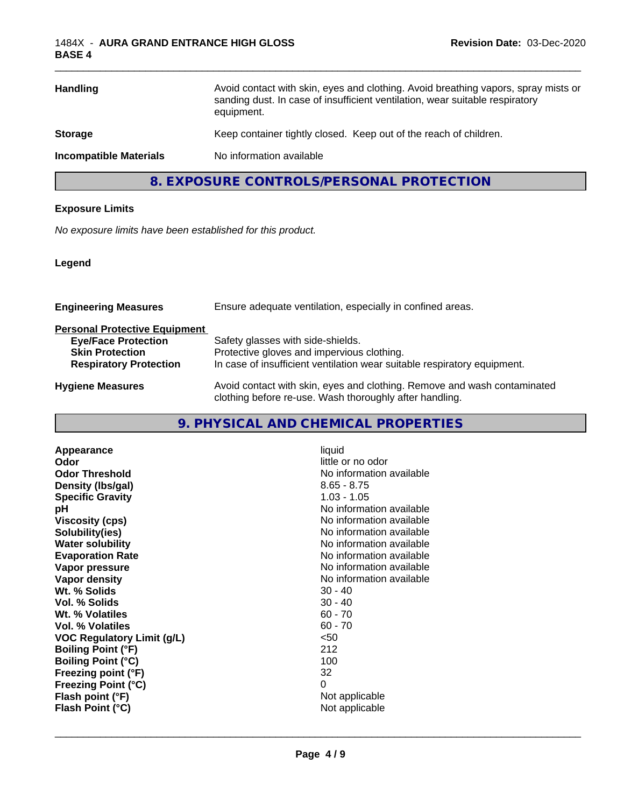| <b>Handling</b>               | Avoid contact with skin, eyes and clothing. Avoid breathing vapors, spray mists or<br>sanding dust. In case of insufficient ventilation, wear suitable respiratory<br>equipment. |
|-------------------------------|----------------------------------------------------------------------------------------------------------------------------------------------------------------------------------|
| <b>Storage</b>                | Keep container tightly closed. Keep out of the reach of children.                                                                                                                |
| <b>Incompatible Materials</b> | No information available                                                                                                                                                         |
|                               |                                                                                                                                                                                  |

\_\_\_\_\_\_\_\_\_\_\_\_\_\_\_\_\_\_\_\_\_\_\_\_\_\_\_\_\_\_\_\_\_\_\_\_\_\_\_\_\_\_\_\_\_\_\_\_\_\_\_\_\_\_\_\_\_\_\_\_\_\_\_\_\_\_\_\_\_\_\_\_\_\_\_\_\_\_\_\_\_\_\_\_\_\_\_\_\_\_\_\_\_

**8. EXPOSURE CONTROLS/PERSONAL PROTECTION**

## **Exposure Limits**

*No exposure limits have been established for this product.*

## **Legend**

| Ensure adequate ventilation, especially in confined areas.                                                                          |  |
|-------------------------------------------------------------------------------------------------------------------------------------|--|
|                                                                                                                                     |  |
| Safety glasses with side-shields.                                                                                                   |  |
| Protective gloves and impervious clothing.                                                                                          |  |
| In case of insufficient ventilation wear suitable respiratory equipment.                                                            |  |
| Avoid contact with skin, eyes and clothing. Remove and wash contaminated<br>clothing before re-use. Wash thoroughly after handling. |  |
|                                                                                                                                     |  |

## **9. PHYSICAL AND CHEMICAL PROPERTIES**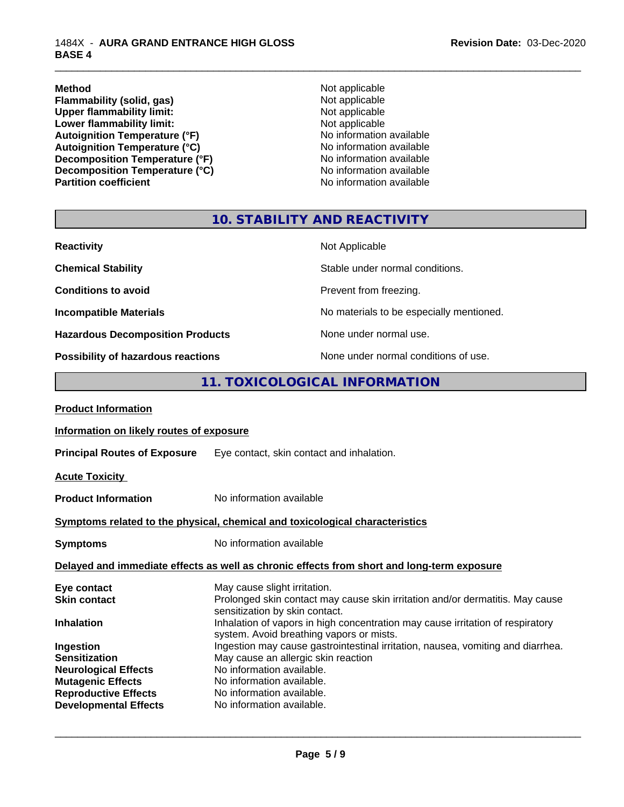#### 1484X - **AURA GRAND ENTRANCE HIGH GLOSS BASE 4**

**Method** Not applicable **Flammability (solid, gas)** Not applicable<br>
Upper flammability limit:<br>
Not applicable<br>
Not applicable Upper flammability limit:<br>
Lower flammability limit:<br>
Not applicable<br>
Not applicable **Lower flammability limit:**<br> **Autoignition Temperature (°F)**<br>
Mo information available Autoignition Temperature (°F)<br>
Autoignition Temperature (°C)<br>
No information available Autoignition Temperature (°C)<br>
Decomposition Temperature (°F)<br>
No information available **Decomposition Temperature (°F)**<br> **Decomposition Temperature (°C)** No information available<br>
No information available **Decomposition Temperature (°C)**<br>Partition coefficient

**No information available** 

\_\_\_\_\_\_\_\_\_\_\_\_\_\_\_\_\_\_\_\_\_\_\_\_\_\_\_\_\_\_\_\_\_\_\_\_\_\_\_\_\_\_\_\_\_\_\_\_\_\_\_\_\_\_\_\_\_\_\_\_\_\_\_\_\_\_\_\_\_\_\_\_\_\_\_\_\_\_\_\_\_\_\_\_\_\_\_\_\_\_\_\_\_

## **10. STABILITY AND REACTIVITY**

| <b>Reactivity</b>                         | Not Applicable                           |
|-------------------------------------------|------------------------------------------|
| <b>Chemical Stability</b>                 | Stable under normal conditions.          |
| <b>Conditions to avoid</b>                | Prevent from freezing.                   |
| <b>Incompatible Materials</b>             | No materials to be especially mentioned. |
| <b>Hazardous Decomposition Products</b>   | None under normal use.                   |
| <b>Possibility of hazardous reactions</b> | None under normal conditions of use.     |

## **11. TOXICOLOGICAL INFORMATION**

| <b>Product Information</b>                                                                 |                                                                                                                                                 |  |
|--------------------------------------------------------------------------------------------|-------------------------------------------------------------------------------------------------------------------------------------------------|--|
| Information on likely routes of exposure                                                   |                                                                                                                                                 |  |
| <b>Principal Routes of Exposure</b>                                                        | Eye contact, skin contact and inhalation.                                                                                                       |  |
| <b>Acute Toxicity</b>                                                                      |                                                                                                                                                 |  |
| <b>Product Information</b>                                                                 | No information available                                                                                                                        |  |
| Symptoms related to the physical, chemical and toxicological characteristics               |                                                                                                                                                 |  |
| <b>Symptoms</b>                                                                            | No information available                                                                                                                        |  |
| Delayed and immediate effects as well as chronic effects from short and long-term exposure |                                                                                                                                                 |  |
| Eye contact<br><b>Skin contact</b>                                                         | May cause slight irritation.<br>Prolonged skin contact may cause skin irritation and/or dermatitis. May cause<br>sensitization by skin contact. |  |
| <b>Inhalation</b>                                                                          | Inhalation of vapors in high concentration may cause irritation of respiratory<br>system. Avoid breathing vapors or mists.                      |  |
| Ingestion                                                                                  | Ingestion may cause gastrointestinal irritation, nausea, vomiting and diarrhea.                                                                 |  |
| <b>Sensitization</b>                                                                       | May cause an allergic skin reaction                                                                                                             |  |
| <b>Neurological Effects</b><br><b>Mutagenic Effects</b>                                    | No information available.<br>No information available.                                                                                          |  |
| <b>Reproductive Effects</b>                                                                | No information available.                                                                                                                       |  |
| <b>Developmental Effects</b>                                                               | No information available.                                                                                                                       |  |
|                                                                                            |                                                                                                                                                 |  |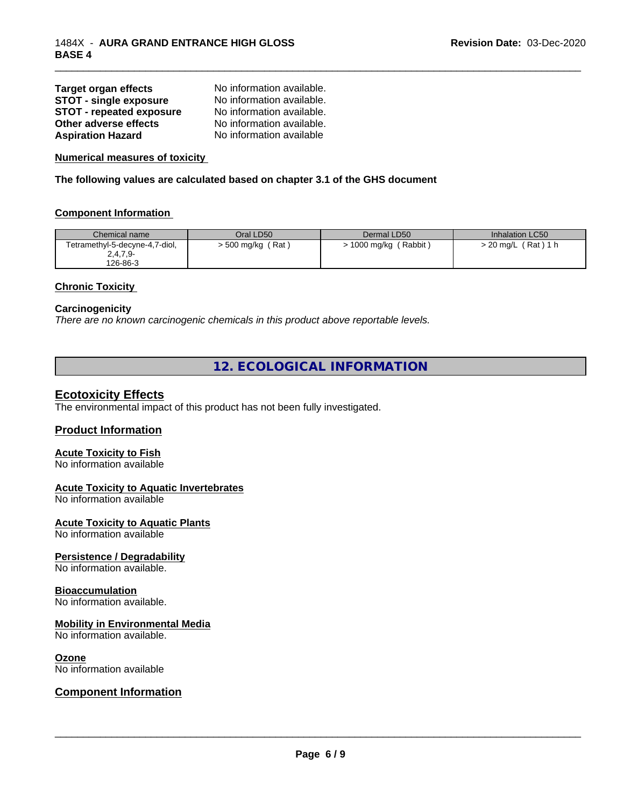| <b>Target organ effects</b>     | No information available. |
|---------------------------------|---------------------------|
| STOT - single exposure          | No information available. |
| <b>STOT - repeated exposure</b> | No information available. |
| Other adverse effects           | No information available. |
| <b>Aspiration Hazard</b>        | No information available  |

**Numerical measures of toxicity**

**The following values are calculated based on chapter 3.1 of the GHS document**

#### **Component Information**

| Chemical name                  | Oral LD50         | Dermal LD50            | Inhalation LC50          |
|--------------------------------|-------------------|------------------------|--------------------------|
| Tetramethyl-5-decyne-4,7-diol, | > 500 mg/kg (Rat) | ' Rabbit<br>1000 mg/kg | ์ Rat ) 1 h<br>. 20 mg/L |
| $2,4,7,9-$                     |                   |                        |                          |
| 126-86-3                       |                   |                        |                          |

\_\_\_\_\_\_\_\_\_\_\_\_\_\_\_\_\_\_\_\_\_\_\_\_\_\_\_\_\_\_\_\_\_\_\_\_\_\_\_\_\_\_\_\_\_\_\_\_\_\_\_\_\_\_\_\_\_\_\_\_\_\_\_\_\_\_\_\_\_\_\_\_\_\_\_\_\_\_\_\_\_\_\_\_\_\_\_\_\_\_\_\_\_

#### **Chronic Toxicity**

#### **Carcinogenicity**

*There are no known carcinogenic chemicals in this product above reportable levels.*

## **12. ECOLOGICAL INFORMATION**

## **Ecotoxicity Effects**

The environmental impact of this product has not been fully investigated.

#### **Product Information**

#### **Acute Toxicity to Fish**

No information available

### **Acute Toxicity to Aquatic Invertebrates**

No information available

#### **Acute Toxicity to Aquatic Plants**

No information available

#### **Persistence / Degradability**

No information available.

#### **Bioaccumulation**

No information available.

#### **Mobility in Environmental Media**

No information available.

#### **Ozone**

No information available

## **Component Information**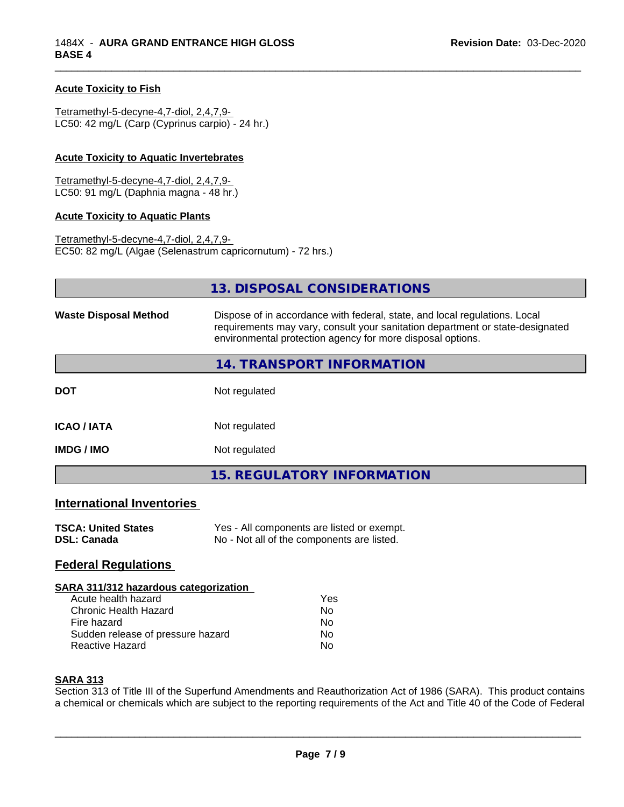#### **Acute Toxicity to Fish**

Tetramethyl-5-decyne-4,7-diol, 2,4,7,9- LC50: 42 mg/L (Carp (Cyprinus carpio) - 24 hr.)

#### **Acute Toxicity to Aquatic Invertebrates**

Tetramethyl-5-decyne-4,7-diol, 2,4,7,9- LC50: 91 mg/L (Daphnia magna - 48 hr.)

#### **Acute Toxicity to Aquatic Plants**

Tetramethyl-5-decyne-4,7-diol, 2,4,7,9- EC50: 82 mg/L (Algae (Selenastrum capricornutum) - 72 hrs.)

|                              | 13. DISPOSAL CONSIDERATIONS                                                                                                                                                                                               |  |
|------------------------------|---------------------------------------------------------------------------------------------------------------------------------------------------------------------------------------------------------------------------|--|
| <b>Waste Disposal Method</b> | Dispose of in accordance with federal, state, and local regulations. Local<br>requirements may vary, consult your sanitation department or state-designated<br>environmental protection agency for more disposal options. |  |
|                              | 14. TRANSPORT INFORMATION                                                                                                                                                                                                 |  |
| <b>DOT</b>                   | Not regulated                                                                                                                                                                                                             |  |
| <b>ICAO/IATA</b>             | Not regulated                                                                                                                                                                                                             |  |
| <b>IMDG / IMO</b>            | Not regulated                                                                                                                                                                                                             |  |
|                              | <b>15. REGULATORY INFORMATION</b>                                                                                                                                                                                         |  |

\_\_\_\_\_\_\_\_\_\_\_\_\_\_\_\_\_\_\_\_\_\_\_\_\_\_\_\_\_\_\_\_\_\_\_\_\_\_\_\_\_\_\_\_\_\_\_\_\_\_\_\_\_\_\_\_\_\_\_\_\_\_\_\_\_\_\_\_\_\_\_\_\_\_\_\_\_\_\_\_\_\_\_\_\_\_\_\_\_\_\_\_\_

## **International Inventories**

| <b>TSCA: United States</b> | Yes - All components are listed or exempt. |
|----------------------------|--------------------------------------------|
| <b>DSL: Canada</b>         | No - Not all of the components are listed. |

## **Federal Regulations**

#### **SARA 311/312 hazardous categorization**

| Acute health hazard               | Yes |
|-----------------------------------|-----|
| Chronic Health Hazard             | Nο  |
| Fire hazard                       | Nο  |
| Sudden release of pressure hazard | Nο  |
| Reactive Hazard                   | N٥  |

### **SARA 313**

Section 313 of Title III of the Superfund Amendments and Reauthorization Act of 1986 (SARA). This product contains a chemical or chemicals which are subject to the reporting requirements of the Act and Title 40 of the Code of Federal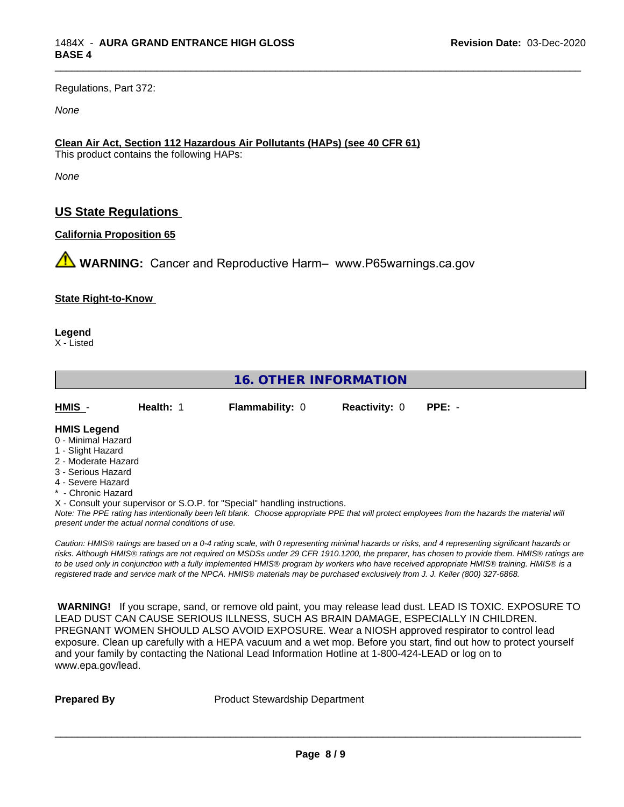Regulations, Part 372:

*None*

## **Clean Air Act,Section 112 Hazardous Air Pollutants (HAPs) (see 40 CFR 61)**

This product contains the following HAPs:

*None*

## **US State Regulations**

## **California Proposition 65**

**WARNING:** Cancer and Reproductive Harm– www.P65warnings.ca.gov

#### **State Right-to-Know**

**Legend**

X - Listed

## **16. OTHER INFORMATION** *Note: The PPE rating has intentionally been left blank. Choose appropriate PPE that will protect employees from the hazards the material will present under the actual normal conditions of use. Caution: HMISÒ ratings are based on a 0-4 rating scale, with 0 representing minimal hazards or risks, and 4 representing significant hazards or risks. Although HMISÒ ratings are not required on MSDSs under 29 CFR 1910.1200, the preparer, has chosen to provide them. HMISÒ ratings are to be used only in conjunction with a fully implemented HMISÒ program by workers who have received appropriate HMISÒ training. HMISÒ is a registered trade and service mark of the NPCA. HMISÒ materials may be purchased exclusively from J. J. Keller (800) 327-6868.* **HMIS** - **Health:** 1 **Flammability:** 0 **Reactivity:** 0 **PPE:** - **HMIS Legend** 0 - Minimal Hazard 1 - Slight Hazard 2 - Moderate Hazard 3 - Serious Hazard 4 - Severe Hazard \* - Chronic Hazard X - Consult your supervisor or S.O.P. for "Special" handling instructions.

\_\_\_\_\_\_\_\_\_\_\_\_\_\_\_\_\_\_\_\_\_\_\_\_\_\_\_\_\_\_\_\_\_\_\_\_\_\_\_\_\_\_\_\_\_\_\_\_\_\_\_\_\_\_\_\_\_\_\_\_\_\_\_\_\_\_\_\_\_\_\_\_\_\_\_\_\_\_\_\_\_\_\_\_\_\_\_\_\_\_\_\_\_

 **WARNING!** If you scrape, sand, or remove old paint, you may release lead dust. LEAD IS TOXIC. EXPOSURE TO LEAD DUST CAN CAUSE SERIOUS ILLNESS, SUCH AS BRAIN DAMAGE, ESPECIALLY IN CHILDREN. PREGNANT WOMEN SHOULD ALSO AVOID EXPOSURE.Wear a NIOSH approved respirator to control lead exposure. Clean up carefully with a HEPA vacuum and a wet mop. Before you start, find out how to protect yourself and your family by contacting the National Lead Information Hotline at 1-800-424-LEAD or log on to www.epa.gov/lead.

**Prepared By** Product Stewardship Department